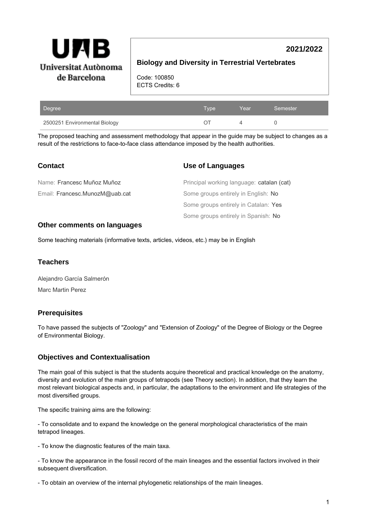

# **2021/2022**

# **Biology and Diversity in Terrestrial Vertebrates**

Code: 100850 ECTS Credits: 6

| Degree                        | Type | Year | Semester |
|-------------------------------|------|------|----------|
| 2500251 Environmental Biology |      |      |          |

The proposed teaching and assessment methodology that appear in the guide may be subject to changes as a result of the restrictions to face-to-face class attendance imposed by the health authorities.

| <b>Contact</b>                 | Use of Languages                          |
|--------------------------------|-------------------------------------------|
| Name: Francesc Muñoz Muñoz     | Principal working language: catalan (cat) |
| Email: Francesc.MunozM@uab.cat | Some groups entirely in English: No       |
|                                | Some groups entirely in Catalan: Yes      |
|                                | Some groups entirely in Spanish: No       |

## **Other comments on languages**

Some teaching materials (informative texts, articles, videos, etc.) may be in English

### **Teachers**

Alejandro García Salmerón Marc Martin Perez

## **Prerequisites**

To have passed the subjects of "Zoology" and "Extension of Zoology" of the Degree of Biology or the Degree of Environmental Biology.

## **Objectives and Contextualisation**

The main goal of this subject is that the students acquire theoretical and practical knowledge on the anatomy, diversity and evolution of the main groups of tetrapods (see Theory section). In addition, that they learn the most relevant biological aspects and, in particular, the adaptations to the environment and life strategies of the most diversified groups.

The specific training aims are the following:

- To consolidate and to expand the knowledge on the general morphological characteristics of the main tetrapod lineages.

- To know the diagnostic features of the main taxa.

- To know the appearance in the fossil record of the main lineages and the essential factors involved in their subsequent diversification.

- To obtain an overview of the internal phylogenetic relationships of the main lineages.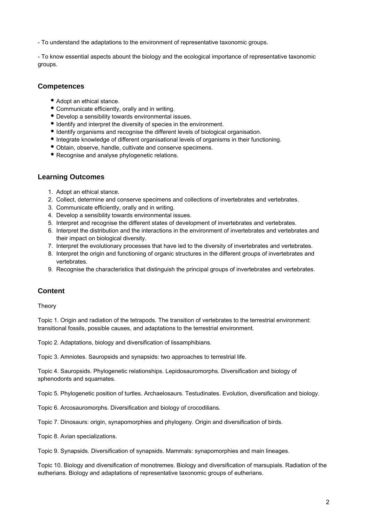- To understand the adaptations to the environment of representative taxonomic groups.

- To know essential aspects abount the biology and the ecological importance of representative taxonomic groups.

# **Competences**

- Adopt an ethical stance.
- Communicate efficiently, orally and in writing.
- Develop a sensibility towards environmental issues.
- $\bullet$  Identify and interpret the diversity of species in the environment.
- Identify organisms and recognise the different levels of biological organisation.
- Integrate knowledge of different organisational levels of organisms in their functioning.
- Obtain, observe, handle, cultivate and conserve specimens.
- Recognise and analyse phylogenetic relations.

# **Learning Outcomes**

- 1. Adopt an ethical stance.
- 2. Collect, determine and conserve specimens and collections of invertebrates and vertebrates.
- 3. Communicate efficiently, orally and in writing.
- 4. Develop a sensibility towards environmental issues.
- 5. Interpret and recognise the different states of development of invertebrates and vertebrates.
- 6. Interpret the distribution and the interactions in the environment of invertebrates and vertebrates and their impact on biological diversity.
- 7. Interpret the evolutionary processes that have led to the diversity of invertebrates and vertebrates.
- 8. Interpret the origin and functioning of organic structures in the different groups of invertebrates and vertebrates.
- 9. Recognise the characteristics that distinguish the principal groups of invertebrates and vertebrates.

# **Content**

Theory

Topic 1. Origin and radiation of the tetrapods. The transition of vertebrates to the terrestrial environment: transitional fossils, possible causes, and adaptations to the terrestrial environment.

Topic 2. Adaptations, biology and diversification of lissamphibians.

Topic 3. Amniotes. Sauropsids and synapsids: two approaches to terrestrial life.

Topic 4. Sauropsids. Phylogenetic relationships. Lepidosauromorphs. Diversification and biology of sphenodonts and squamates.

Topic 5. Phylogenetic position of turtles. Archaelosaurs. Testudinates. Evolution, diversification and biology.

Topic 6. Arcosauromorphs. Diversification and biology of crocodilians.

Topic 7. Dinosaurs: origin, synapomorphies and phylogeny. Origin and diversification of birds.

Topic 8. Avian specializations.

Topic 9. Synapsids. Diversification of synapsids. Mammals: synapomorphies and main lineages.

Topic 10. Biology and diversification of monotremes. Biology and diversification of marsupials. Radiation of the eutherians. Biology and adaptations of representative taxonomic groups of eutherians.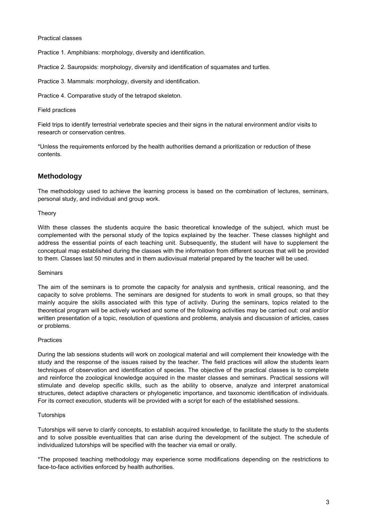#### Practical classes

Practice 1. Amphibians: morphology, diversity and identification.

Practice 2. Sauropsids: morphology, diversity and identification of squamates and turtles.

Practice 3. Mammals: morphology, diversity and identification.

Practice 4. Comparative study of the tetrapod skeleton.

#### Field practices

Field trips to identify terrestrial vertebrate species and their signs in the natural environment and/or visits to research or conservation centres.

\*Unless the requirements enforced by the health authorities demand a prioritization or reduction of these contents.

# **Methodology**

The methodology used to achieve the learning process is based on the combination of lectures, seminars, personal study, and individual and group work.

#### **Theory**

With these classes the students acquire the basic theoretical knowledge of the subject, which must be complemented with the personal study of the topics explained by the teacher. These classes highlight and address the essential points of each teaching unit. Subsequently, the student will have to supplement the conceptual map established during the classes with the information from different sources that will be provided to them. Classes last 50 minutes and in them audiovisual material prepared by the teacher will be used.

#### **Seminars**

The aim of the seminars is to promote the capacity for analysis and synthesis, critical reasoning, and the capacity to solve problems. The seminars are designed for students to work in small groups, so that they mainly acquire the skills associated with this type of activity. During the seminars, topics related to the theoretical program will be actively worked and some of the following activities may be carried out: oral and/or written presentation of a topic, resolution of questions and problems, analysis and discussion of articles, cases or problems.

#### Practices

During the lab sessions students will work on zoological material and will complement their knowledge with the study and the response of the issues raised by the teacher. The field practices will allow the students learn techniques of observation and identification of species. The objective of the practical classes is to complete and reinforce the zoological knowledge acquired in the master classes and seminars. Practical sessions will stimulate and develop specific skills, such as the ability to observe, analyze and interpret anatomical structures, detect adaptive characters or phylogenetic importance, and taxonomic identification of individuals. For its correct execution, students will be provided with a script for each of the established sessions.

#### **Tutorships**

Tutorships will serve to clarify concepts, to establish acquired knowledge, to facilitate the study to the students and to solve possible eventualities that can arise during the development of the subject. The schedule of individualized tutorships will be specified with the teacher via email or orally.

\*The proposed teaching methodology may experience some modifications depending on the restrictions to face-to-face activities enforced by health authorities.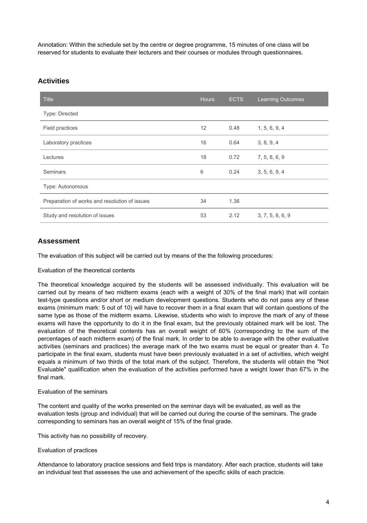Annotation: Within the schedule set by the centre or degree programme, 15 minutes of one class will be reserved for students to evaluate their lecturers and their courses or modules through questionnaires.

# **Activities**

| <b>Title</b>                                  | <b>Hours</b> | <b>ECTS</b> | <b>Learning Outcomes</b> |  |  |
|-----------------------------------------------|--------------|-------------|--------------------------|--|--|
| Type: Directed                                |              |             |                          |  |  |
| Field practices                               | 12           | 0.48        | 1, 5, 6, 9, 4            |  |  |
| Laboratory practices                          | 16           | 0.64        | 3, 8, 9, 4               |  |  |
| Lectures                                      | 18           | 0.72        | 7, 5, 8, 6, 9            |  |  |
| Seminars                                      | 6            | 0.24        | 3, 5, 6, 9, 4            |  |  |
| Type: Autonomous                              |              |             |                          |  |  |
| Preparation of works and resolution of issues | 34           | 1.36        |                          |  |  |
| Study and resolution of issues                | 53           | 2.12        | 3, 7, 5, 8, 6, 9         |  |  |

# **Assessment**

The evaluation of this subject will be carried out by means of the the following procedures:

## Evaluation of the theoretical contents

The theoretical knowledge acquired by the students will be assessed individually. This evaluation will be carried out by means of two midterm exams (each with a weight of 30% of the final mark) that will contain test-type questions and/or short or medium development questions. Students who do not pass any of these exams (minimum mark: 5 out of 10) will have to recover them in a final exam that will contain questions of the same type as those of the midterm exams. Likewise, students who wish to improve the mark of any of these exams will have the opportunity to do it in the final exam, but the previously obtained mark will be lost. The evaluation of the theoretical contents has an overall weight of 60% (corresponding to the sum of the percentages of each midterm exam) of the final mark. In order to be able to average with the other evaluative activities (seminars and practices) the average mark of the two exams must be equal or greater than 4. To participate in the final exam, students must have been previously evaluated in a set of activities, which weight equals a minimum of two thirds of the total mark of the subject. Therefore, the students will obtain the "Not Evaluable" qualification when the evaluation of the activities performed have a weight lower than 67% in the final mark.

## Evaluation of the seminars

The content and quality of the works presented on the seminar days will be evaluated, as well as the evaluation tests (group and individual) that will be carried out during the course of the seminars. The grade corresponding to seminars has an overall weight of 15% of the final grade.

This activity has no possibility of recovery.

## Evaluation of practices

Attendance to laboratory practice sessions and field trips is mandatory. After each practice, students will take an individual test that assesses the use and achievement of the specific skills of each practcie.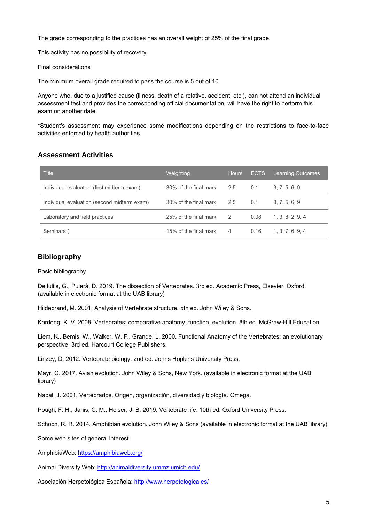The grade corresponding to the practices has an overall weight of 25% of the final grade.

This activity has no possibility of recovery.

Final considerations

The minimum overall grade required to pass the course is 5 out of 10.

Anyone who, due to a justified cause (illness, death of a relative, accident, etc.), can not attend an individual assessment test and provides the corresponding official documentation, will have the right to perform this exam on another date.

\*Student's assessment may experience some modifications depending on the restrictions to face-to-face activities enforced by health authorities.

## **Assessment Activities**

| <b>Title</b>                                | Weighting             | <b>Hours</b>   | <b>ECTS</b> | <b>Learning Outcomes</b> |
|---------------------------------------------|-----------------------|----------------|-------------|--------------------------|
| Individual evaluation (first midterm exam)  | 30% of the final mark | 2.5            | 0.1         | 3, 7, 5, 6, 9            |
| Individual evaluation (second midterm exam) | 30% of the final mark | 2.5            | 0.1         | 3, 7, 5, 6, 9            |
| Laboratory and field practices              | 25% of the final mark | 2              | 0.08        | 1, 3, 8, 2, 9, 4         |
| Seminars (                                  | 15% of the final mark | $\overline{4}$ | 0.16        | 1, 3, 7, 6, 9, 4         |

# **Bibliography**

Basic bibliography

De luliis, G., Pulerà, D. 2019. The dissection of Vertebrates. 3rd ed. Academic Press, Elsevier, Oxford. (available in electronic format at the UAB library)

Hildebrand, M. 2001. Analysis of Vertebrate structure. 5th ed. John Wiley & Sons.

Kardong, K. V. 2008. Vertebrates: comparative anatomy, function, evolution. 8th ed. McGraw-Hill Education.

Liem, K., Bemis, W., Walker, W. F., Grande, L. 2000. Functional Anatomy of the Vertebrates: an evolutionary perspective. 3rd ed. Harcourt College Publishers.

Linzey, D. 2012. Vertebrate biology. 2nd ed. Johns Hopkins University Press.

Mayr, G. 2017. Avian evolution. John Wiley & Sons, New York. (available in electronic format at the UAB library)

Nadal, J. 2001. Vertebrados. Origen, organización, diversidad y biología. Omega.

Pough, F. H., Janis, C. M., Heiser, J. B. 2019. Vertebrate life. 10th ed. Oxford University Press.

Schoch, R. R. 2014. Amphibian evolution. John Wiley & Sons (available in electronic format at the UAB library)

Some web sites of general interest

AmphibiaWeb:<https://amphibiaweb.org/>

Animal Diversity Web: <http://animaldiversity.ummz.umich.edu/>

Asociación Herpetológica Española: <http://www.herpetologica.es/>